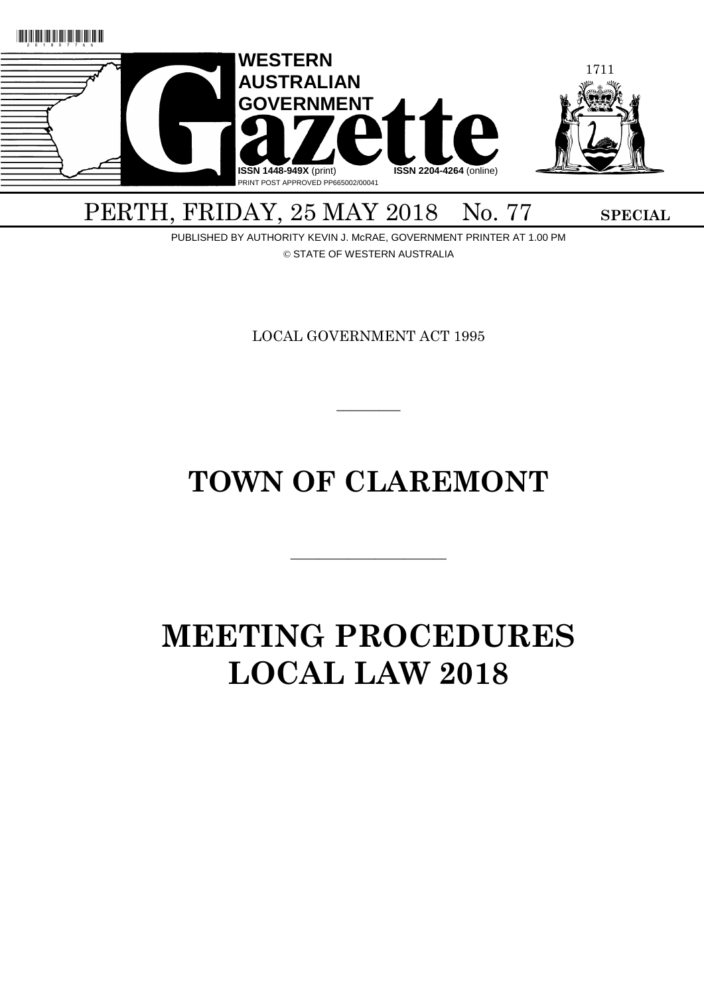

# PERTH, FRIDAY, 25 MAY 2018 No. 77 SPECIAL

PUBLISHED BY AUTHORITY KEVIN J. McRAE, GOVERNMENT PRINTER AT 1.00 PM © STATE OF WESTERN AUSTRALIA

LOCAL GOVERNMENT ACT 1995

 $\overline{\phantom{a}}$ 

# **TOWN OF CLAREMONT**

———————————

# **MEETING PROCEDURES LOCAL LAW 2018**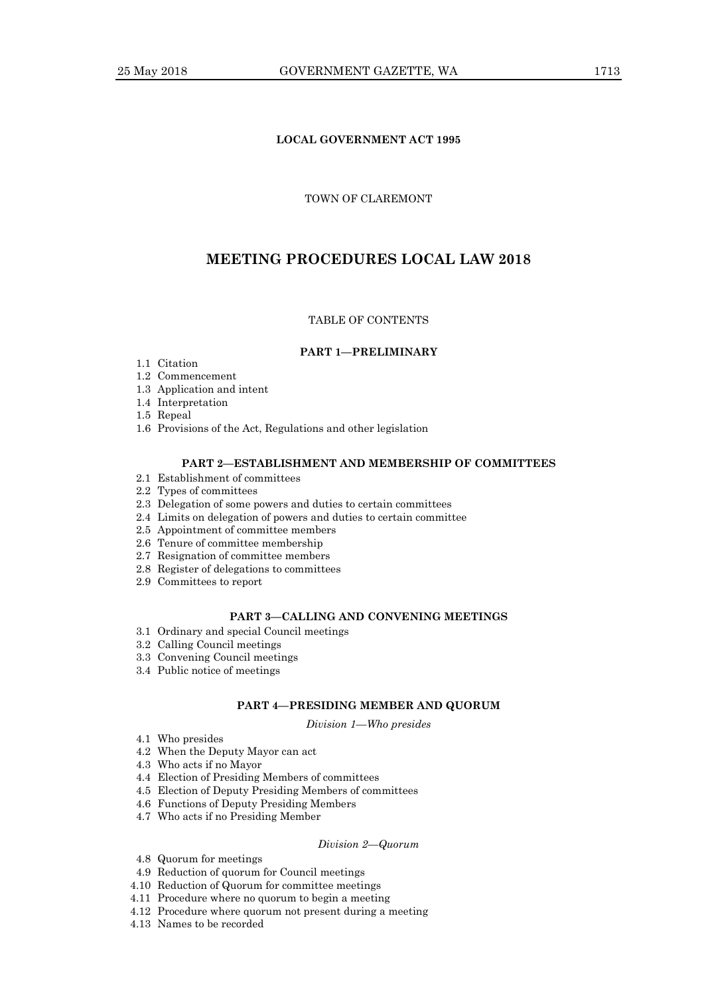# **LOCAL GOVERNMENT ACT 1995**

# TOWN OF CLAREMONT

# **MEETING PROCEDURES LOCAL LAW 2018**

#### TABLE OF CONTENTS

# **PART 1—PRELIMINARY**

- 1.1 Citation
- 1.2 Commencement
- 1.3 Application and intent
- 1.4 Interpretation
- 1.5 Repeal
- 1.6 Provisions of the Act, Regulations and other legislation

# **PART 2—ESTABLISHMENT AND MEMBERSHIP OF COMMITTEES**

- 2.1 Establishment of committees
- 2.2 Types of committees
- 2.3 Delegation of some powers and duties to certain committees
- 2.4 Limits on delegation of powers and duties to certain committee
- 2.5 Appointment of committee members
- 2.6 Tenure of committee membership
- 2.7 Resignation of committee members
- 2.8 Register of delegations to committees
- 2.9 Committees to report

# **PART 3—CALLING AND CONVENING MEETINGS**

- 3.1 Ordinary and special Council meetings
- 3.2 Calling Council meetings
- 3.3 Convening Council meetings
- 3.4 Public notice of meetings

#### **PART 4—PRESIDING MEMBER AND QUORUM**

*Division 1—Who presides*

- 4.1 Who presides
- 4.2 When the Deputy Mayor can act
- 4.3 Who acts if no Mayor
- 4.4 Election of Presiding Members of committees
- 4.5 Election of Deputy Presiding Members of committees
- 4.6 Functions of Deputy Presiding Members
- 4.7 Who acts if no Presiding Member

#### *Division 2—Quorum*

- 4.8 Quorum for meetings
- 4.9 Reduction of quorum for Council meetings
- 4.10 Reduction of Quorum for committee meetings
- 4.11 Procedure where no quorum to begin a meeting
- 4.12 Procedure where quorum not present during a meeting
- 4.13 Names to be recorded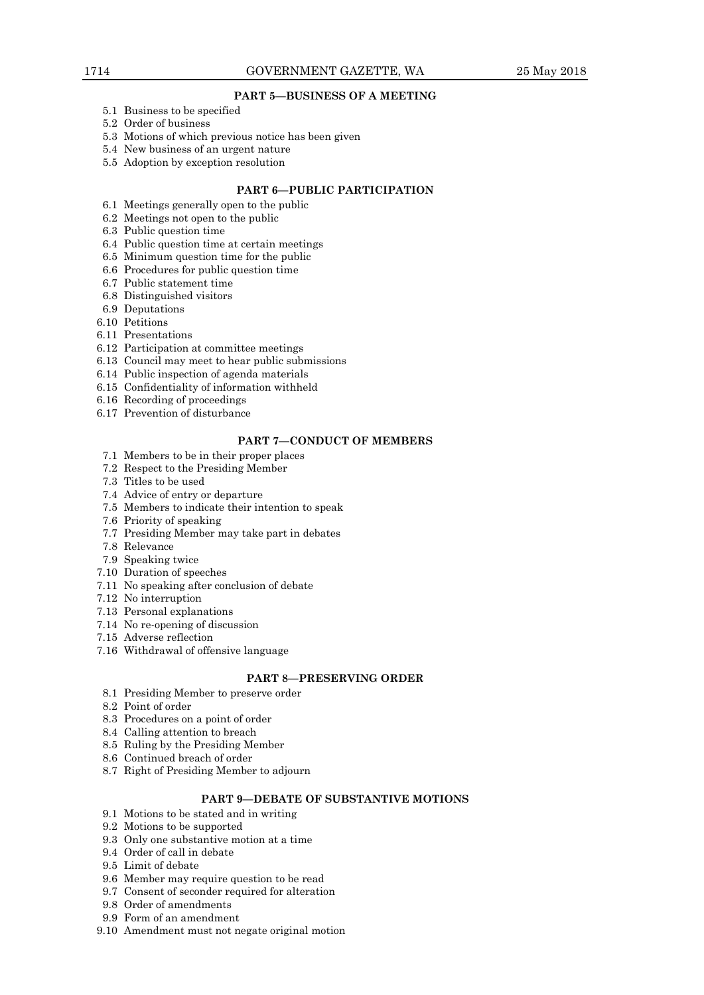# **PART 5—BUSINESS OF A MEETING**

- 5.1 Business to be specified
- 5.2 Order of business
- 5.3 Motions of which previous notice has been given
- 5.4 New business of an urgent nature
- 5.5 Adoption by exception resolution

# **PART 6—PUBLIC PARTICIPATION**

- 6.1 Meetings generally open to the public
- 6.2 Meetings not open to the public
- 6.3 Public question time
- 6.4 Public question time at certain meetings
- 6.5 Minimum question time for the public
- 6.6 Procedures for public question time
- 6.7 Public statement time
- 6.8 Distinguished visitors
- 6.9 Deputations
- 6.10 Petitions
- 6.11 Presentations
- 6.12 Participation at committee meetings
- 6.13 Council may meet to hear public submissions
- 6.14 Public inspection of agenda materials
- 6.15 Confidentiality of information withheld
- 6.16 Recording of proceedings
- 6.17 Prevention of disturbance

#### **PART 7—CONDUCT OF MEMBERS**

- 7.1 Members to be in their proper places
- 7.2 Respect to the Presiding Member
- 7.3 Titles to be used
- 7.4 Advice of entry or departure
- 7.5 Members to indicate their intention to speak
- 7.6 Priority of speaking
- 7.7 Presiding Member may take part in debates
- 7.8 Relevance
- 7.9 Speaking twice
- 7.10 Duration of speeches
- 7.11 No speaking after conclusion of debate
- 7.12 No interruption
- 7.13 Personal explanations
- 7.14 No re-opening of discussion
- 7.15 Adverse reflection
- 7.16 Withdrawal of offensive language

# **PART 8—PRESERVING ORDER**

- 8.1 Presiding Member to preserve order
- 8.2 Point of order
- 8.3 Procedures on a point of order
- 8.4 Calling attention to breach
- 8.5 Ruling by the Presiding Member
- 8.6 Continued breach of order
- 8.7 Right of Presiding Member to adjourn

# **PART 9—DEBATE OF SUBSTANTIVE MOTIONS**

- 9.1 Motions to be stated and in writing
- 9.2 Motions to be supported
- 9.3 Only one substantive motion at a time
- 9.4 Order of call in debate
- 9.5 Limit of debate
- 9.6 Member may require question to be read
- 9.7 Consent of seconder required for alteration
- 9.8 Order of amendments
- 9.9 Form of an amendment
- 9.10 Amendment must not negate original motion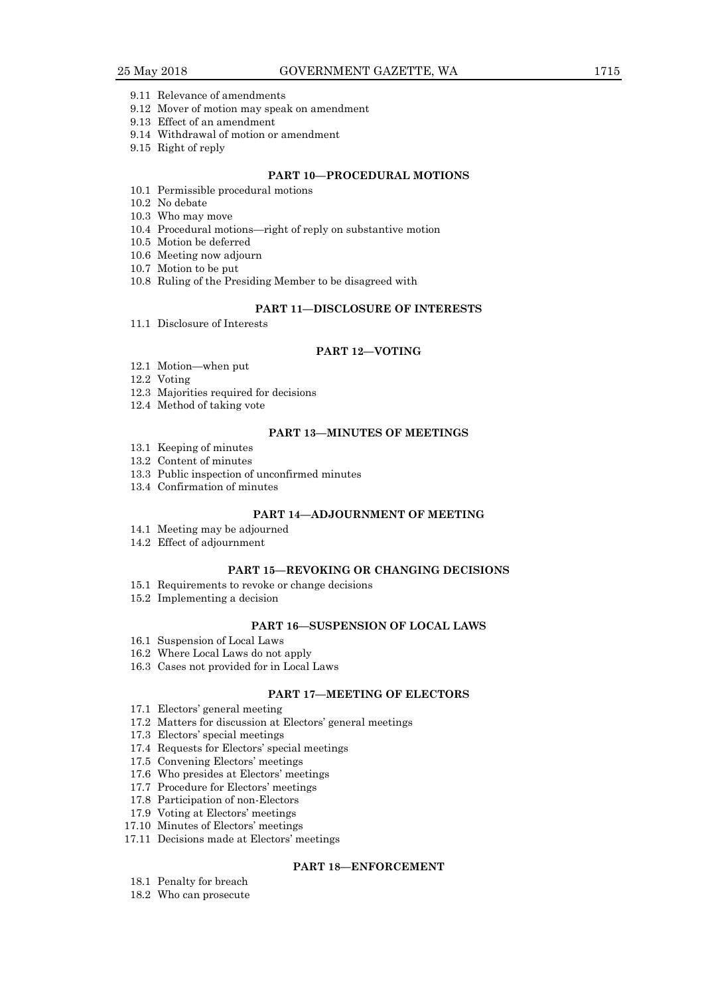- 9.11 Relevance of amendments
- 9.12 Mover of motion may speak on amendment
- 9.13 Effect of an amendment
- 9.14 Withdrawal of motion or amendment
- 9.15 Right of reply

# **PART 10—PROCEDURAL MOTIONS**

- 10.1 Permissible procedural motions
- 10.2 No debate
- 10.3 Who may move
- 10.4 Procedural motions—right of reply on substantive motion
- 10.5 Motion be deferred
- 10.6 Meeting now adjourn
- 10.7 Motion to be put
- 10.8 Ruling of the Presiding Member to be disagreed with

#### **PART 11—DISCLOSURE OF INTERESTS**

11.1 Disclosure of Interests

#### **PART 12—VOTING**

- 12.1 Motion—when put
- 12.2 Voting
- 12.3 Majorities required for decisions
- 12.4 Method of taking vote

# **PART 13—MINUTES OF MEETINGS**

- 13.1 Keeping of minutes
- 13.2 Content of minutes
- 13.3 Public inspection of unconfirmed minutes
- 13.4 Confirmation of minutes

#### **PART 14—ADJOURNMENT OF MEETING**

- 14.1 Meeting may be adjourned
- 14.2 Effect of adjournment

#### **PART 15—REVOKING OR CHANGING DECISIONS**

- 15.1 Requirements to revoke or change decisions
- 15.2 Implementing a decision

# **PART 16—SUSPENSION OF LOCAL LAWS**

- 16.1 Suspension of Local Laws
- 16.2 Where Local Laws do not apply
- 16.3 Cases not provided for in Local Laws

# **PART 17—MEETING OF ELECTORS**

- 17.1 Electors' general meeting
- 17.2 Matters for discussion at Electors' general meetings
- 17.3 Electors' special meetings
- 17.4 Requests for Electors' special meetings
- 17.5 Convening Electors' meetings
- 17.6 Who presides at Electors' meetings
- 17.7 Procedure for Electors' meetings
- 17.8 Participation of non-Electors
- 17.9 Voting at Electors' meetings
- 17.10 Minutes of Electors' meetings
- 17.11 Decisions made at Electors' meetings

#### **PART 18—ENFORCEMENT**

- 18.1 Penalty for breach
- 18.2 Who can prosecute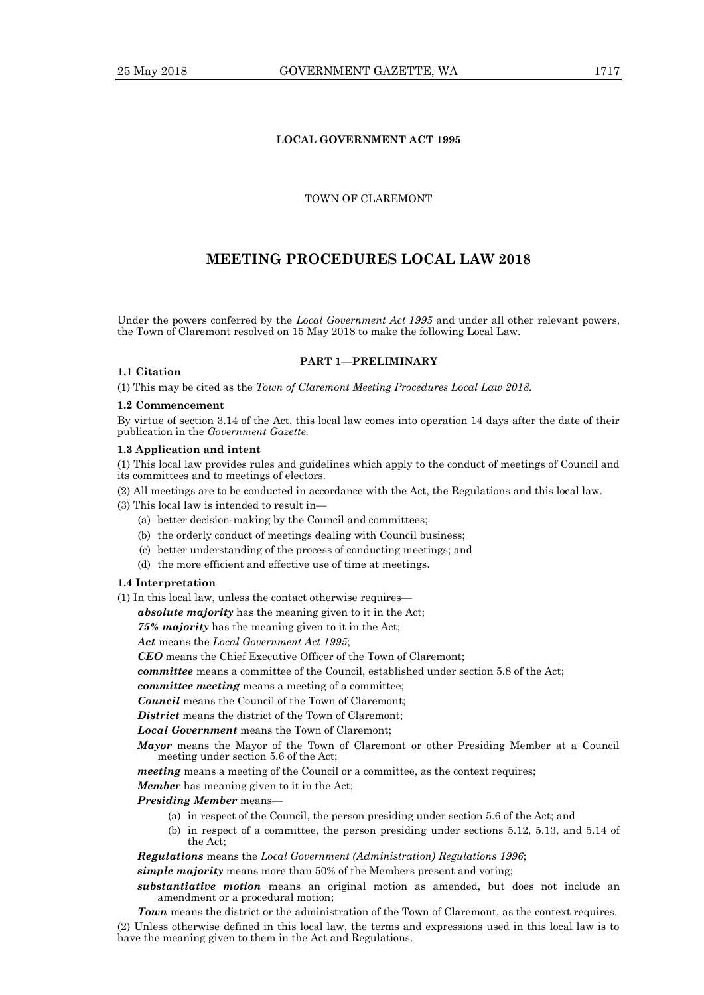# **LOCAL GOVERNMENT ACT 1995**

# TOWN OF CLAREMONT

# **MEETING PROCEDURES LOCAL LAW 2018**

Under the powers conferred by the *Local Government Act 1995* and under all other relevant powers, the Town of Claremont resolved on 15 May 2018 to make the following Local Law.

**PART 1—PRELIMINARY**

#### **1.1 Citation**

(1) This may be cited as the *Town of Claremont Meeting Procedures Local Law 2018.*

#### **1.2 Commencement**

By virtue of section 3.14 of the Act, this local law comes into operation 14 days after the date of their publication in the *Government Gazette.*

#### **1.3 Application and intent**

(1) This local law provides rules and guidelines which apply to the conduct of meetings of Council and its committees and to meetings of electors.

(2) All meetings are to be conducted in accordance with the Act, the Regulations and this local law.

(3) This local law is intended to result in—

- (a) better decision-making by the Council and committees;
- (b) the orderly conduct of meetings dealing with Council business;
- (c) better understanding of the process of conducting meetings; and
- (d) the more efficient and effective use of time at meetings.

#### **1.4 Interpretation**

(1) In this local law, unless the contact otherwise requires—

*absolute majority* has the meaning given to it in the Act;

*75% majority* has the meaning given to it in the Act;

*Act* means the *Local Government Act 1995*;

*CEO* means the Chief Executive Officer of the Town of Claremont;

*committee* means a committee of the Council, established under section 5.8 of the Act;

*committee meeting* means a meeting of a committee;

*Council* means the Council of the Town of Claremont;

*District* means the district of the Town of Claremont;

*Local Government* means the Town of Claremont;

*Mayor* means the Mayor of the Town of Claremont or other Presiding Member at a Council meeting under section 5.6 of the Act;

*meeting* means a meeting of the Council or a committee, as the context requires;

*Member* has meaning given to it in the Act;

#### *Presiding Member* means—

- (a) in respect of the Council, the person presiding under section 5.6 of the Act; and
- (b) in respect of a committee, the person presiding under sections 5.12, 5.13, and 5.14 of the Act;

*Regulations* means the *Local Government (Administration) Regulations 1996*;

*simple majority* means more than 50% of the Members present and voting;

*substantiative motion* means an original motion as amended, but does not include an amendment or a procedural motion;

*Town* means the district or the administration of the Town of Claremont, as the context requires. (2) Unless otherwise defined in this local law, the terms and expressions used in this local law is to have the meaning given to them in the Act and Regulations.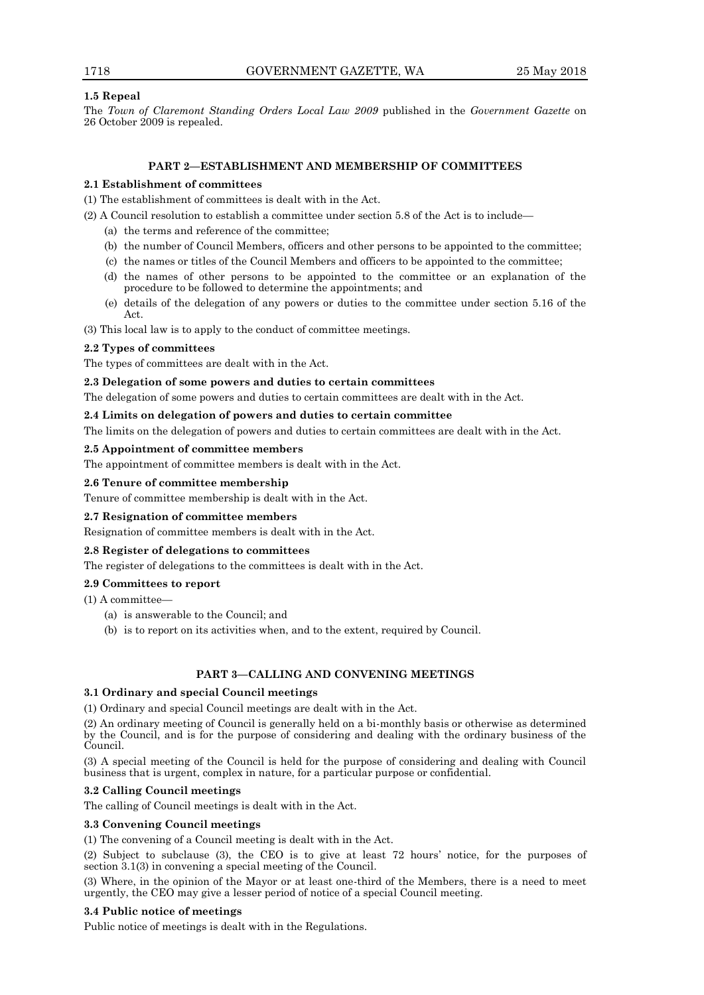# **1.5 Repeal**

The *Town of Claremont Standing Orders Local Law 2009* published in the *Government Gazette* on 26 October 2009 is repealed.

# **PART 2—ESTABLISHMENT AND MEMBERSHIP OF COMMITTEES**

# **2.1 Establishment of committees**

(1) The establishment of committees is dealt with in the Act.

(2) A Council resolution to establish a committee under section 5.8 of the Act is to include—

- (a) the terms and reference of the committee;
- (b) the number of Council Members, officers and other persons to be appointed to the committee;
- (c) the names or titles of the Council Members and officers to be appointed to the committee;
- (d) the names of other persons to be appointed to the committee or an explanation of the procedure to be followed to determine the appointments; and
- (e) details of the delegation of any powers or duties to the committee under section 5.16 of the Act.

(3) This local law is to apply to the conduct of committee meetings.

# **2.2 Types of committees**

The types of committees are dealt with in the Act.

# **2.3 Delegation of some powers and duties to certain committees**

The delegation of some powers and duties to certain committees are dealt with in the Act.

#### **2.4 Limits on delegation of powers and duties to certain committee**

The limits on the delegation of powers and duties to certain committees are dealt with in the Act.

#### **2.5 Appointment of committee members**

The appointment of committee members is dealt with in the Act.

#### **2.6 Tenure of committee membership**

Tenure of committee membership is dealt with in the Act.

# **2.7 Resignation of committee members**

Resignation of committee members is dealt with in the Act.

# **2.8 Register of delegations to committees**

The register of delegations to the committees is dealt with in the Act.

# **2.9 Committees to report**

- (1) A committee—
	- (a) is answerable to the Council; and
	- (b) is to report on its activities when, and to the extent, required by Council.

# **PART 3—CALLING AND CONVENING MEETINGS**

#### **3.1 Ordinary and special Council meetings**

(1) Ordinary and special Council meetings are dealt with in the Act.

(2) An ordinary meeting of Council is generally held on a bi-monthly basis or otherwise as determined by the Council, and is for the purpose of considering and dealing with the ordinary business of the Council.

(3) A special meeting of the Council is held for the purpose of considering and dealing with Council business that is urgent, complex in nature, for a particular purpose or confidential.

# **3.2 Calling Council meetings**

The calling of Council meetings is dealt with in the Act.

# **3.3 Convening Council meetings**

(1) The convening of a Council meeting is dealt with in the Act.

(2) Subject to subclause (3), the CEO is to give at least 72 hours' notice, for the purposes of section 3.1(3) in convening a special meeting of the Council.

(3) Where, in the opinion of the Mayor or at least one-third of the Members, there is a need to meet urgently, the CEO may give a lesser period of notice of a special Council meeting.

# **3.4 Public notice of meetings**

Public notice of meetings is dealt with in the Regulations.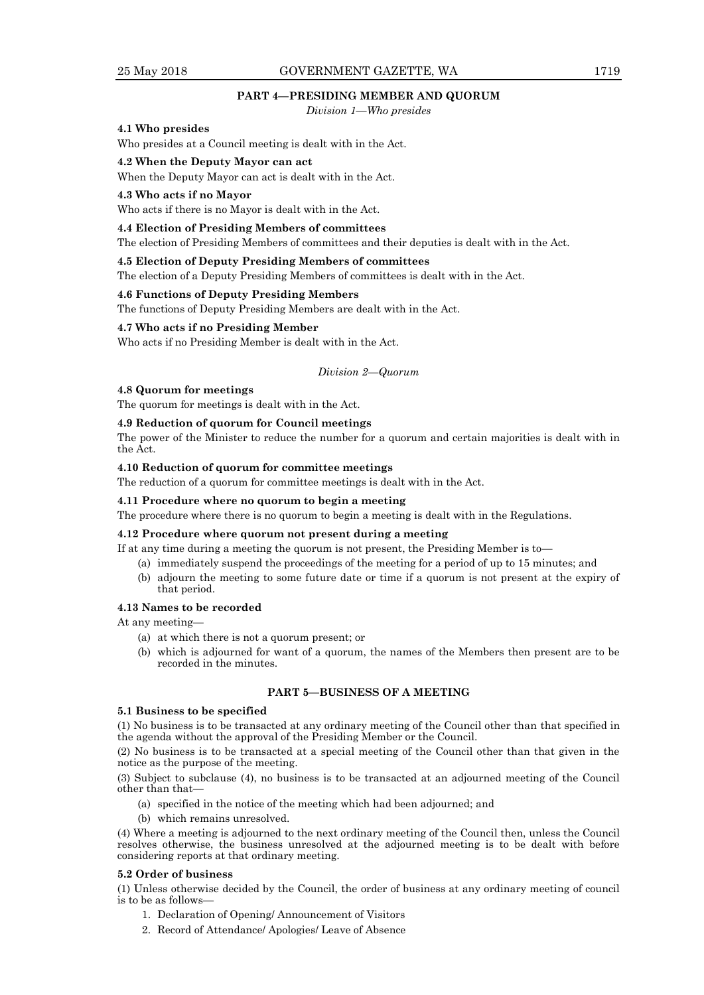# 25 May 2018 GOVERNMENT GAZETTE, WA 1719

# **PART 4—PRESIDING MEMBER AND QUORUM**

*Division 1—Who presides*

#### **4.1 Who presides**

Who presides at a Council meeting is dealt with in the Act.

#### **4.2 When the Deputy Mayor can act**

When the Deputy Mayor can act is dealt with in the Act.

#### **4.3 Who acts if no Mayor**

Who acts if there is no Mayor is dealt with in the Act.

#### **4.4 Election of Presiding Members of committees**

The election of Presiding Members of committees and their deputies is dealt with in the Act.

#### **4.5 Election of Deputy Presiding Members of committees**

The election of a Deputy Presiding Members of committees is dealt with in the Act.

#### **4.6 Functions of Deputy Presiding Members**

The functions of Deputy Presiding Members are dealt with in the Act.

#### **4.7 Who acts if no Presiding Member**

Who acts if no Presiding Member is dealt with in the Act.

*Division 2—Quorum*

#### **4.8 Quorum for meetings**

The quorum for meetings is dealt with in the Act.

#### **4.9 Reduction of quorum for Council meetings**

The power of the Minister to reduce the number for a quorum and certain majorities is dealt with in the Act.

#### **4.10 Reduction of quorum for committee meetings**

The reduction of a quorum for committee meetings is dealt with in the Act.

#### **4.11 Procedure where no quorum to begin a meeting**

The procedure where there is no quorum to begin a meeting is dealt with in the Regulations.

#### **4.12 Procedure where quorum not present during a meeting**

If at any time during a meeting the quorum is not present, the Presiding Member is to—

- (a) immediately suspend the proceedings of the meeting for a period of up to 15 minutes; and
- (b) adjourn the meeting to some future date or time if a quorum is not present at the expiry of that period.

# **4.13 Names to be recorded**

At any meeting—

- (a) at which there is not a quorum present; or
- (b) which is adjourned for want of a quorum, the names of the Members then present are to be recorded in the minutes.

# **PART 5—BUSINESS OF A MEETING**

# **5.1 Business to be specified**

(1) No business is to be transacted at any ordinary meeting of the Council other than that specified in the agenda without the approval of the Presiding Member or the Council.

(2) No business is to be transacted at a special meeting of the Council other than that given in the notice as the purpose of the meeting.

(3) Subject to subclause (4), no business is to be transacted at an adjourned meeting of the Council other than that—

- (a) specified in the notice of the meeting which had been adjourned; and
- (b) which remains unresolved.

(4) Where a meeting is adjourned to the next ordinary meeting of the Council then, unless the Council resolves otherwise, the business unresolved at the adjourned meeting is to be dealt with before considering reports at that ordinary meeting.

#### **5.2 Order of business**

(1) Unless otherwise decided by the Council, the order of business at any ordinary meeting of council is to be as follows—

- 1. Declaration of Opening/ Announcement of Visitors
- 2. Record of Attendance/ Apologies/ Leave of Absence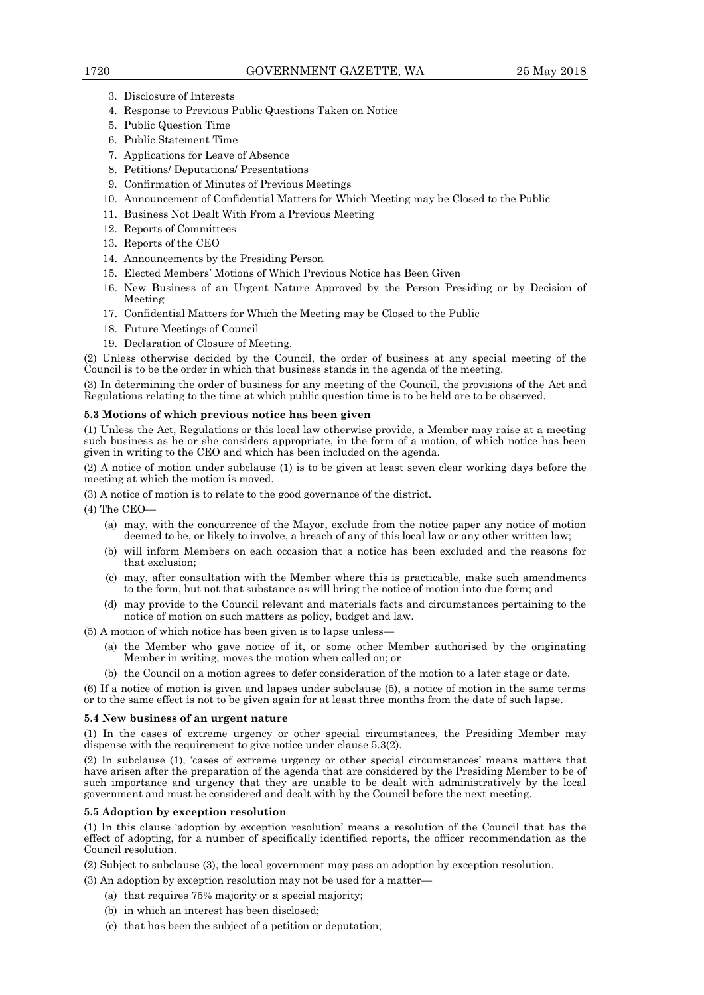- 3. Disclosure of Interests
- 4. Response to Previous Public Questions Taken on Notice
- 5. Public Question Time
- 6. Public Statement Time
- 7. Applications for Leave of Absence
- 8. Petitions/ Deputations/ Presentations
- 9. Confirmation of Minutes of Previous Meetings
- 10. Announcement of Confidential Matters for Which Meeting may be Closed to the Public
- 11. Business Not Dealt With From a Previous Meeting
- 12. Reports of Committees
- 13. Reports of the CEO
- 14. Announcements by the Presiding Person
- 15. Elected Members' Motions of Which Previous Notice has Been Given
- 16. New Business of an Urgent Nature Approved by the Person Presiding or by Decision of Meeting
- 17. Confidential Matters for Which the Meeting may be Closed to the Public
- 18. Future Meetings of Council
- 19. Declaration of Closure of Meeting.

(2) Unless otherwise decided by the Council, the order of business at any special meeting of the Council is to be the order in which that business stands in the agenda of the meeting.

(3) In determining the order of business for any meeting of the Council, the provisions of the Act and Regulations relating to the time at which public question time is to be held are to be observed.

#### **5.3 Motions of which previous notice has been given**

(1) Unless the Act, Regulations or this local law otherwise provide, a Member may raise at a meeting such business as he or she considers appropriate, in the form of a motion, of which notice has been given in writing to the CEO and which has been included on the agenda.

(2) A notice of motion under subclause (1) is to be given at least seven clear working days before the meeting at which the motion is moved.

(3) A notice of motion is to relate to the good governance of the district.

 $(4)$  The CEO-

- (a) may, with the concurrence of the Mayor, exclude from the notice paper any notice of motion deemed to be, or likely to involve, a breach of any of this local law or any other written law;
- (b) will inform Members on each occasion that a notice has been excluded and the reasons for that exclusion;
- (c) may, after consultation with the Member where this is practicable, make such amendments to the form, but not that substance as will bring the notice of motion into due form; and
- (d) may provide to the Council relevant and materials facts and circumstances pertaining to the notice of motion on such matters as policy, budget and law.

(5) A motion of which notice has been given is to lapse unless—

- (a) the Member who gave notice of it, or some other Member authorised by the originating Member in writing, moves the motion when called on; or
- (b) the Council on a motion agrees to defer consideration of the motion to a later stage or date.

(6) If a notice of motion is given and lapses under subclause (5), a notice of motion in the same terms or to the same effect is not to be given again for at least three months from the date of such lapse.

#### **5.4 New business of an urgent nature**

(1) In the cases of extreme urgency or other special circumstances, the Presiding Member may dispense with the requirement to give notice under clause 5.3(2).

(2) In subclause (1), 'cases of extreme urgency or other special circumstances' means matters that have arisen after the preparation of the agenda that are considered by the Presiding Member to be of such importance and urgency that they are unable to be dealt with administratively by the local government and must be considered and dealt with by the Council before the next meeting.

#### **5.5 Adoption by exception resolution**

(1) In this clause 'adoption by exception resolution' means a resolution of the Council that has the effect of adopting, for a number of specifically identified reports, the officer recommendation as the Council resolution.

(2) Subject to subclause (3), the local government may pass an adoption by exception resolution.

(3) An adoption by exception resolution may not be used for a matter—

- (a) that requires 75% majority or a special majority;
- (b) in which an interest has been disclosed;
- (c) that has been the subject of a petition or deputation;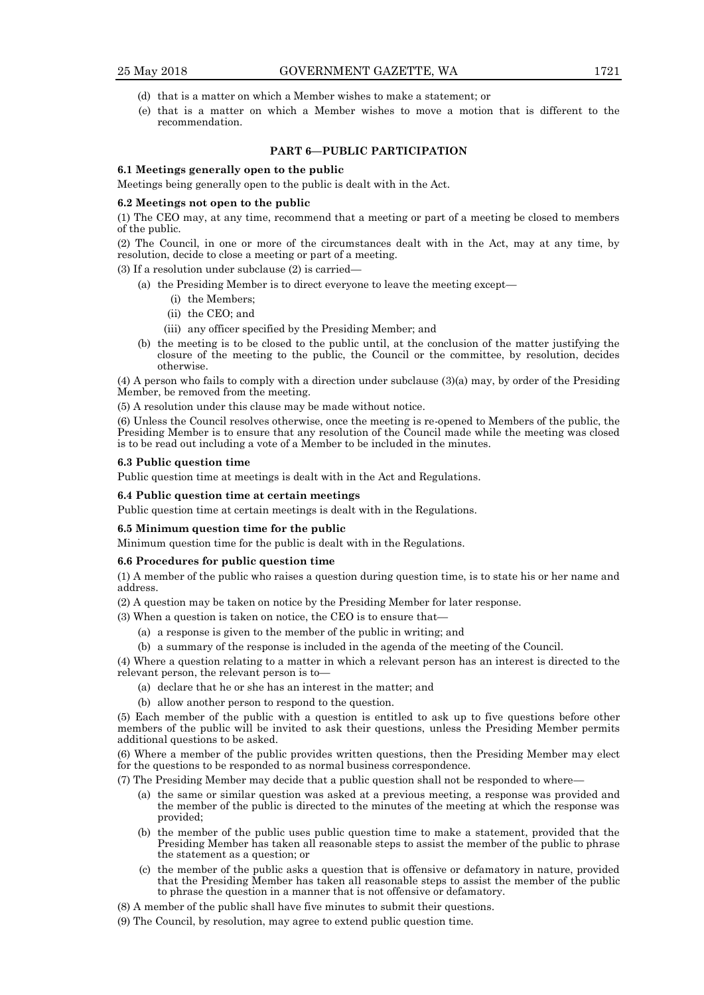- (d) that is a matter on which a Member wishes to make a statement; or
- (e) that is a matter on which a Member wishes to move a motion that is different to the recommendation.

# **PART 6—PUBLIC PARTICIPATION**

#### **6.1 Meetings generally open to the public**

Meetings being generally open to the public is dealt with in the Act.

#### **6.2 Meetings not open to the public**

(1) The CEO may, at any time, recommend that a meeting or part of a meeting be closed to members of the public.

(2) The Council, in one or more of the circumstances dealt with in the Act, may at any time, by resolution, decide to close a meeting or part of a meeting.

(3) If a resolution under subclause (2) is carried—

- (a) the Presiding Member is to direct everyone to leave the meeting except—
	- (i) the Members;
	- (ii) the CEO; and
	- (iii) any officer specified by the Presiding Member; and
- (b) the meeting is to be closed to the public until, at the conclusion of the matter justifying the closure of the meeting to the public, the Council or the committee, by resolution, decides otherwise.

(4) A person who fails to comply with a direction under subclause (3)(a) may, by order of the Presiding Member, be removed from the meeting.

(5) A resolution under this clause may be made without notice.

(6) Unless the Council resolves otherwise, once the meeting is re-opened to Members of the public, the Presiding Member is to ensure that any resolution of the Council made while the meeting was closed is to be read out including a vote of a Member to be included in the minutes.

#### **6.3 Public question time**

Public question time at meetings is dealt with in the Act and Regulations.

#### **6.4 Public question time at certain meetings**

Public question time at certain meetings is dealt with in the Regulations.

#### **6.5 Minimum question time for the public**

Minimum question time for the public is dealt with in the Regulations.

#### **6.6 Procedures for public question time**

(1) A member of the public who raises a question during question time, is to state his or her name and address.

(2) A question may be taken on notice by the Presiding Member for later response.

- (3) When a question is taken on notice, the CEO is to ensure that—
	- (a) a response is given to the member of the public in writing; and
	- (b) a summary of the response is included in the agenda of the meeting of the Council.

(4) Where a question relating to a matter in which a relevant person has an interest is directed to the relevant person, the relevant person is to—

- (a) declare that he or she has an interest in the matter; and
- (b) allow another person to respond to the question.

(5) Each member of the public with a question is entitled to ask up to five questions before other members of the public will be invited to ask their questions, unless the Presiding Member permits additional questions to be asked.

(6) Where a member of the public provides written questions, then the Presiding Member may elect for the questions to be responded to as normal business correspondence.

- (7) The Presiding Member may decide that a public question shall not be responded to where—
	- (a) the same or similar question was asked at a previous meeting, a response was provided and the member of the public is directed to the minutes of the meeting at which the response was provided;
	- (b) the member of the public uses public question time to make a statement, provided that the Presiding Member has taken all reasonable steps to assist the member of the public to phrase the statement as a question; or
	- (c) the member of the public asks a question that is offensive or defamatory in nature, provided that the Presiding Member has taken all reasonable steps to assist the member of the public to phrase the question in a manner that is not offensive or defamatory.
- (8) A member of the public shall have five minutes to submit their questions.
- (9) The Council, by resolution, may agree to extend public question time.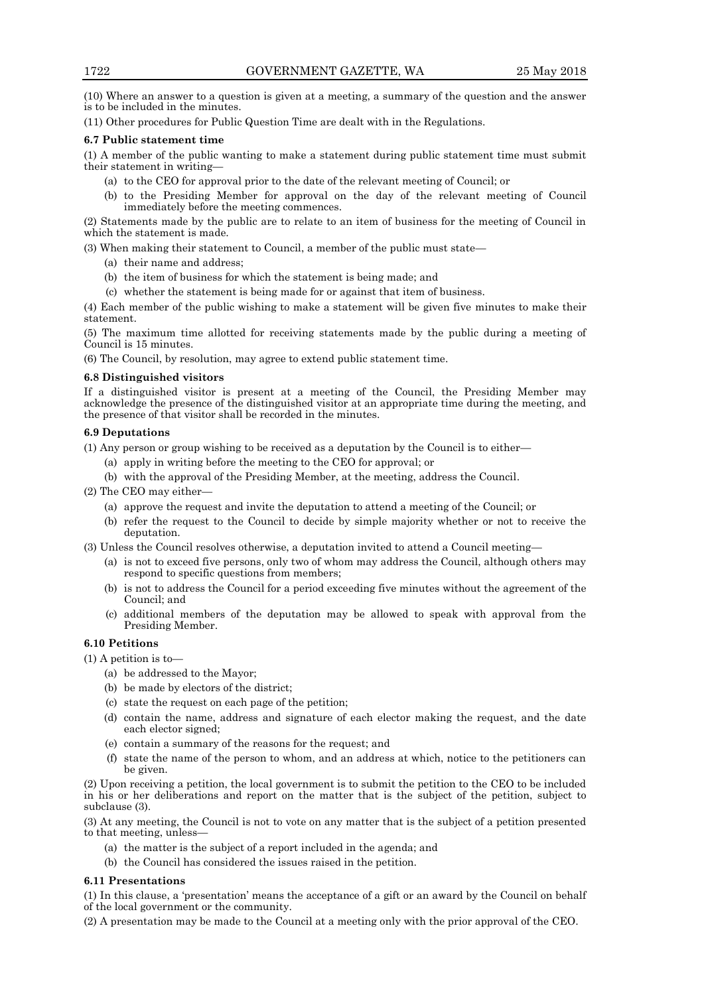(10) Where an answer to a question is given at a meeting, a summary of the question and the answer is to be included in the minutes.

(11) Other procedures for Public Question Time are dealt with in the Regulations.

#### **6.7 Public statement time**

(1) A member of the public wanting to make a statement during public statement time must submit their statement in writing—

- (a) to the CEO for approval prior to the date of the relevant meeting of Council; or
- (b) to the Presiding Member for approval on the day of the relevant meeting of Council immediately before the meeting commences.

(2) Statements made by the public are to relate to an item of business for the meeting of Council in which the statement is made.

(3) When making their statement to Council, a member of the public must state—

- (a) their name and address;
- (b) the item of business for which the statement is being made; and
- (c) whether the statement is being made for or against that item of business.

(4) Each member of the public wishing to make a statement will be given five minutes to make their statement.

(5) The maximum time allotted for receiving statements made by the public during a meeting of Council is 15 minutes.

(6) The Council, by resolution, may agree to extend public statement time.

#### **6.8 Distinguished visitors**

If a distinguished visitor is present at a meeting of the Council, the Presiding Member may acknowledge the presence of the distinguished visitor at an appropriate time during the meeting, and the presence of that visitor shall be recorded in the minutes.

#### **6.9 Deputations**

(1) Any person or group wishing to be received as a deputation by the Council is to either—

- (a) apply in writing before the meeting to the CEO for approval; or
- (b) with the approval of the Presiding Member, at the meeting, address the Council.

(2) The CEO may either—

- (a) approve the request and invite the deputation to attend a meeting of the Council; or
- (b) refer the request to the Council to decide by simple majority whether or not to receive the deputation.

(3) Unless the Council resolves otherwise, a deputation invited to attend a Council meeting—

- (a) is not to exceed five persons, only two of whom may address the Council, although others may respond to specific questions from members;
- (b) is not to address the Council for a period exceeding five minutes without the agreement of the Council; and
- (c) additional members of the deputation may be allowed to speak with approval from the Presiding Member.

# **6.10 Petitions**

(1) A petition is to—

- (a) be addressed to the Mayor;
- (b) be made by electors of the district;
- (c) state the request on each page of the petition;
- (d) contain the name, address and signature of each elector making the request, and the date each elector signed;
- (e) contain a summary of the reasons for the request; and
- (f) state the name of the person to whom, and an address at which, notice to the petitioners can be given.

(2) Upon receiving a petition, the local government is to submit the petition to the CEO to be included in his or her deliberations and report on the matter that is the subject of the petition, subject to subclause (3).

(3) At any meeting, the Council is not to vote on any matter that is the subject of a petition presented to that meeting, unless—

- (a) the matter is the subject of a report included in the agenda; and
- (b) the Council has considered the issues raised in the petition.

#### **6.11 Presentations**

(1) In this clause, a 'presentation' means the acceptance of a gift or an award by the Council on behalf of the local government or the community.

(2) A presentation may be made to the Council at a meeting only with the prior approval of the CEO.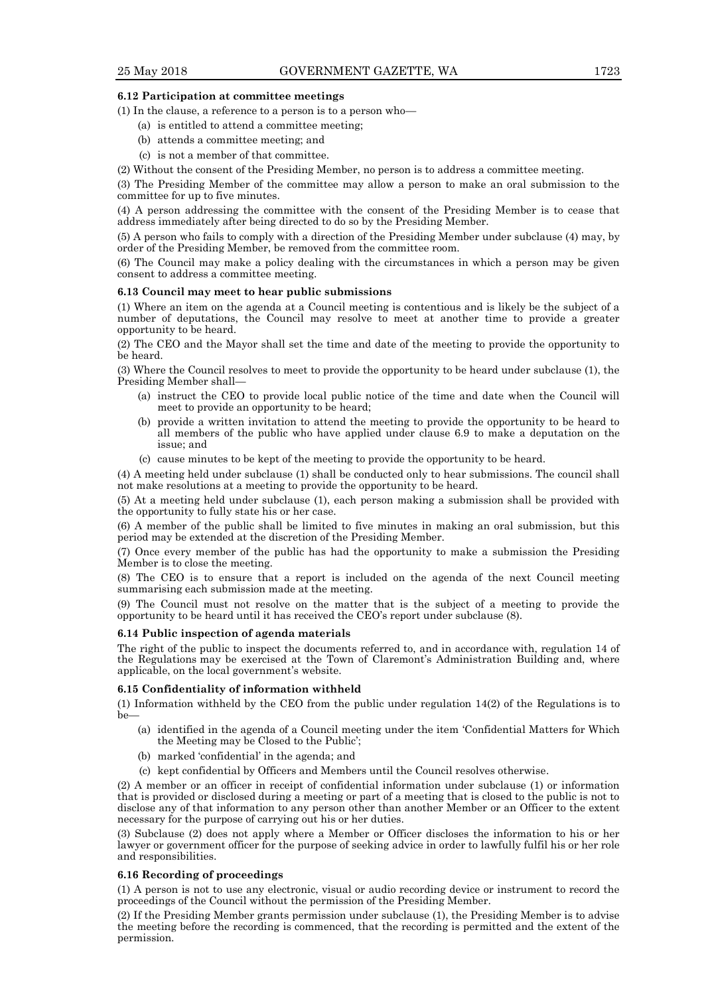#### **6.12 Participation at committee meetings**

(1) In the clause, a reference to a person is to a person who—

- (a) is entitled to attend a committee meeting;
- (b) attends a committee meeting; and
- (c) is not a member of that committee.

(2) Without the consent of the Presiding Member, no person is to address a committee meeting.

(3) The Presiding Member of the committee may allow a person to make an oral submission to the committee for up to five minutes.

(4) A person addressing the committee with the consent of the Presiding Member is to cease that address immediately after being directed to do so by the Presiding Member.

(5) A person who fails to comply with a direction of the Presiding Member under subclause (4) may, by order of the Presiding Member, be removed from the committee room.

(6) The Council may make a policy dealing with the circumstances in which a person may be given consent to address a committee meeting.

#### **6.13 Council may meet to hear public submissions**

(1) Where an item on the agenda at a Council meeting is contentious and is likely be the subject of a number of deputations, the Council may resolve to meet at another time to provide a greater opportunity to be heard.

(2) The CEO and the Mayor shall set the time and date of the meeting to provide the opportunity to be heard.

(3) Where the Council resolves to meet to provide the opportunity to be heard under subclause (1), the Presiding Member shall—

- (a) instruct the CEO to provide local public notice of the time and date when the Council will meet to provide an opportunity to be heard;
- (b) provide a written invitation to attend the meeting to provide the opportunity to be heard to all members of the public who have applied under clause 6.9 to make a deputation on the issue; and
- (c) cause minutes to be kept of the meeting to provide the opportunity to be heard.

(4) A meeting held under subclause (1) shall be conducted only to hear submissions. The council shall not make resolutions at a meeting to provide the opportunity to be heard.

(5) At a meeting held under subclause (1), each person making a submission shall be provided with the opportunity to fully state his or her case.

(6) A member of the public shall be limited to five minutes in making an oral submission, but this period may be extended at the discretion of the Presiding Member.

(7) Once every member of the public has had the opportunity to make a submission the Presiding Member is to close the meeting.

(8) The CEO is to ensure that a report is included on the agenda of the next Council meeting summarising each submission made at the meeting.

(9) The Council must not resolve on the matter that is the subject of a meeting to provide the opportunity to be heard until it has received the CEO's report under subclause (8).

#### **6.14 Public inspection of agenda materials**

The right of the public to inspect the documents referred to, and in accordance with, regulation 14 of the Regulations may be exercised at the Town of Claremont's Administration Building and, where applicable, on the local government's website.

# **6.15 Confidentiality of information withheld**

(1) Information withheld by the CEO from the public under regulation 14(2) of the Regulations is to  $he$ 

- (a) identified in the agenda of a Council meeting under the item 'Confidential Matters for Which the Meeting may be Closed to the Public';
- (b) marked 'confidential' in the agenda; and
- (c) kept confidential by Officers and Members until the Council resolves otherwise.

(2) A member or an officer in receipt of confidential information under subclause (1) or information that is provided or disclosed during a meeting or part of a meeting that is closed to the public is not to disclose any of that information to any person other than another Member or an Officer to the extent necessary for the purpose of carrying out his or her duties.

(3) Subclause (2) does not apply where a Member or Officer discloses the information to his or her lawyer or government officer for the purpose of seeking advice in order to lawfully fulfil his or her role and responsibilities.

#### **6.16 Recording of proceedings**

(1) A person is not to use any electronic, visual or audio recording device or instrument to record the proceedings of the Council without the permission of the Presiding Member.

(2) If the Presiding Member grants permission under subclause (1), the Presiding Member is to advise the meeting before the recording is commenced, that the recording is permitted and the extent of the permission.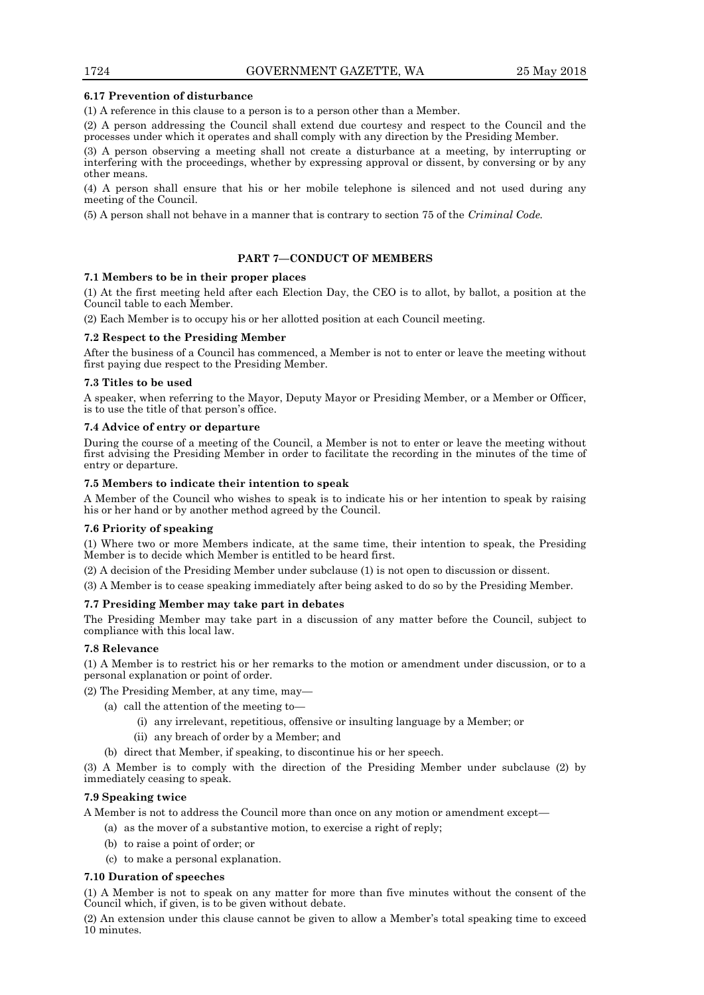#### **6.17 Prevention of disturbance**

(1) A reference in this clause to a person is to a person other than a Member.

(2) A person addressing the Council shall extend due courtesy and respect to the Council and the processes under which it operates and shall comply with any direction by the Presiding Member.

(3) A person observing a meeting shall not create a disturbance at a meeting, by interrupting or interfering with the proceedings, whether by expressing approval or dissent, by conversing or by any other means.

(4) A person shall ensure that his or her mobile telephone is silenced and not used during any meeting of the Council.

(5) A person shall not behave in a manner that is contrary to section 75 of the *Criminal Code.*

#### **PART 7—CONDUCT OF MEMBERS**

#### **7.1 Members to be in their proper places**

(1) At the first meeting held after each Election Day, the CEO is to allot, by ballot, a position at the Council table to each Member.

(2) Each Member is to occupy his or her allotted position at each Council meeting.

#### **7.2 Respect to the Presiding Member**

After the business of a Council has commenced, a Member is not to enter or leave the meeting without first paying due respect to the Presiding Member.

#### **7.3 Titles to be used**

A speaker, when referring to the Mayor, Deputy Mayor or Presiding Member, or a Member or Officer, is to use the title of that person's office.

#### **7.4 Advice of entry or departure**

During the course of a meeting of the Council, a Member is not to enter or leave the meeting without first advising the Presiding Member in order to facilitate the recording in the minutes of the time of entry or departure.

#### **7.5 Members to indicate their intention to speak**

A Member of the Council who wishes to speak is to indicate his or her intention to speak by raising his or her hand or by another method agreed by the Council.

#### **7.6 Priority of speaking**

(1) Where two or more Members indicate, at the same time, their intention to speak, the Presiding Member is to decide which Member is entitled to be heard first.

(2) A decision of the Presiding Member under subclause (1) is not open to discussion or dissent.

(3) A Member is to cease speaking immediately after being asked to do so by the Presiding Member.

#### **7.7 Presiding Member may take part in debates**

The Presiding Member may take part in a discussion of any matter before the Council, subject to compliance with this local law.

#### **7.8 Relevance**

(1) A Member is to restrict his or her remarks to the motion or amendment under discussion, or to a personal explanation or point of order.

(2) The Presiding Member, at any time, may—

- (a) call the attention of the meeting to—
	- (i) any irrelevant, repetitious, offensive or insulting language by a Member; or
	- (ii) any breach of order by a Member; and
	- (b) direct that Member, if speaking, to discontinue his or her speech.

(3) A Member is to comply with the direction of the Presiding Member under subclause (2) by immediately ceasing to speak.

#### **7.9 Speaking twice**

A Member is not to address the Council more than once on any motion or amendment except—

- (a) as the mover of a substantive motion, to exercise a right of reply;
- (b) to raise a point of order; or
- (c) to make a personal explanation.

#### **7.10 Duration of speeches**

(1) A Member is not to speak on any matter for more than five minutes without the consent of the Council which, if given, is to be given without debate.

(2) An extension under this clause cannot be given to allow a Member's total speaking time to exceed 10 minutes.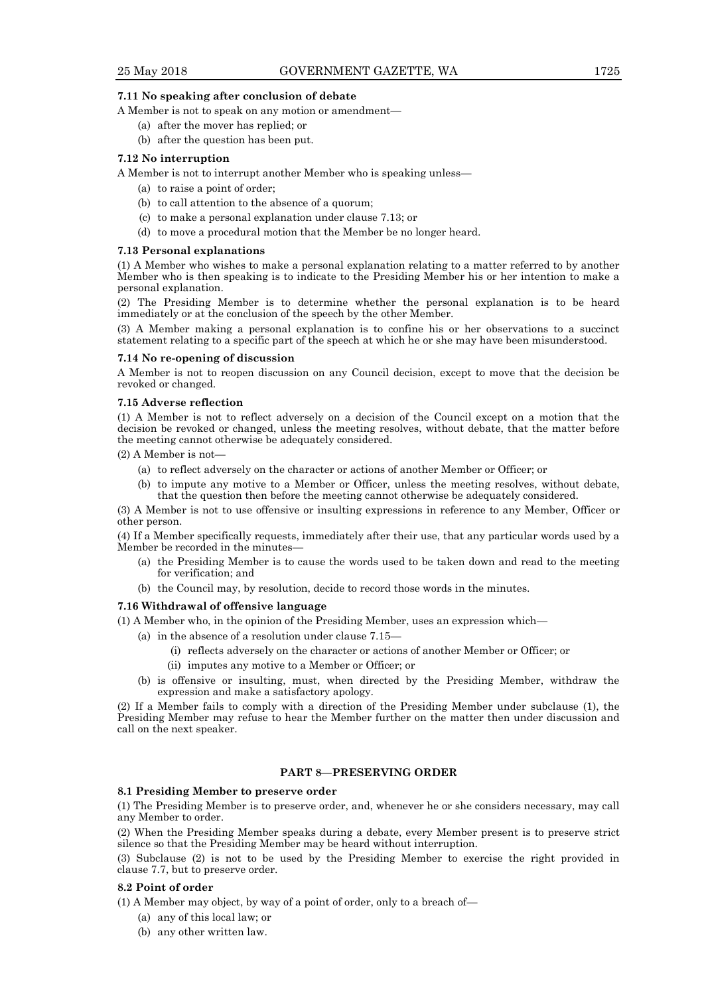#### **7.11 No speaking after conclusion of debate**

A Member is not to speak on any motion or amendment—

- (a) after the mover has replied; or
- (b) after the question has been put.

#### **7.12 No interruption**

A Member is not to interrupt another Member who is speaking unless—

- (a) to raise a point of order;
- (b) to call attention to the absence of a quorum;
- (c) to make a personal explanation under clause 7.13; or
- (d) to move a procedural motion that the Member be no longer heard.

#### **7.13 Personal explanations**

(1) A Member who wishes to make a personal explanation relating to a matter referred to by another Member who is then speaking is to indicate to the Presiding Member his or her intention to make a personal explanation.

(2) The Presiding Member is to determine whether the personal explanation is to be heard immediately or at the conclusion of the speech by the other Member.

(3) A Member making a personal explanation is to confine his or her observations to a succinct statement relating to a specific part of the speech at which he or she may have been misunderstood.

#### **7.14 No re-opening of discussion**

A Member is not to reopen discussion on any Council decision, except to move that the decision be revoked or changed.

#### **7.15 Adverse reflection**

(1) A Member is not to reflect adversely on a decision of the Council except on a motion that the decision be revoked or changed, unless the meeting resolves, without debate, that the matter before the meeting cannot otherwise be adequately considered.

- (2) A Member is not—
	- (a) to reflect adversely on the character or actions of another Member or Officer; or
	- (b) to impute any motive to a Member or Officer, unless the meeting resolves, without debate, that the question then before the meeting cannot otherwise be adequately considered.

(3) A Member is not to use offensive or insulting expressions in reference to any Member, Officer or other person.

(4) If a Member specifically requests, immediately after their use, that any particular words used by a Member be recorded in the minutes—

- (a) the Presiding Member is to cause the words used to be taken down and read to the meeting for verification; and
- (b) the Council may, by resolution, decide to record those words in the minutes.

#### **7.16 Withdrawal of offensive language**

(1) A Member who, in the opinion of the Presiding Member, uses an expression which—

- (a) in the absence of a resolution under clause 7.15—
	- (i) reflects adversely on the character or actions of another Member or Officer; or
	- (ii) imputes any motive to a Member or Officer; or
- (b) is offensive or insulting, must, when directed by the Presiding Member, withdraw the expression and make a satisfactory apology.

(2) If a Member fails to comply with a direction of the Presiding Member under subclause (1), the Presiding Member may refuse to hear the Member further on the matter then under discussion and call on the next speaker.

# **PART 8—PRESERVING ORDER**

#### **8.1 Presiding Member to preserve order**

(1) The Presiding Member is to preserve order, and, whenever he or she considers necessary, may call any Member to order.

(2) When the Presiding Member speaks during a debate, every Member present is to preserve strict silence so that the Presiding Member may be heard without interruption.

(3) Subclause (2) is not to be used by the Presiding Member to exercise the right provided in clause 7.7, but to preserve order.

#### **8.2 Point of order**

(1) A Member may object, by way of a point of order, only to a breach of—

- (a) any of this local law; or
- (b) any other written law.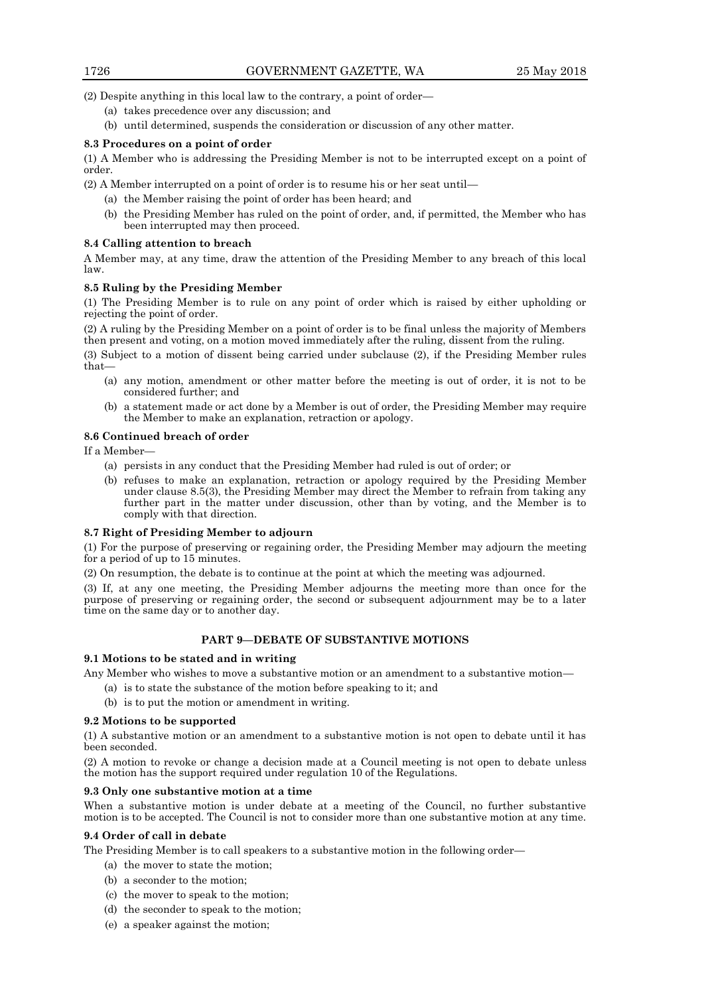(2) Despite anything in this local law to the contrary, a point of order—

- (a) takes precedence over any discussion; and
- (b) until determined, suspends the consideration or discussion of any other matter.

#### **8.3 Procedures on a point of order**

(1) A Member who is addressing the Presiding Member is not to be interrupted except on a point of order.

(2) A Member interrupted on a point of order is to resume his or her seat until—

- (a) the Member raising the point of order has been heard; and
	- (b) the Presiding Member has ruled on the point of order, and, if permitted, the Member who has been interrupted may then proceed.

#### **8.4 Calling attention to breach**

A Member may, at any time, draw the attention of the Presiding Member to any breach of this local law.

#### **8.5 Ruling by the Presiding Member**

(1) The Presiding Member is to rule on any point of order which is raised by either upholding or rejecting the point of order.

(2) A ruling by the Presiding Member on a point of order is to be final unless the majority of Members then present and voting, on a motion moved immediately after the ruling, dissent from the ruling.

(3) Subject to a motion of dissent being carried under subclause (2), if the Presiding Member rules that—

- (a) any motion, amendment or other matter before the meeting is out of order, it is not to be considered further; and
- (b) a statement made or act done by a Member is out of order, the Presiding Member may require the Member to make an explanation, retraction or apology.

#### **8.6 Continued breach of order**

If a Member—

- (a) persists in any conduct that the Presiding Member had ruled is out of order; or
- (b) refuses to make an explanation, retraction or apology required by the Presiding Member under clause 8.5(3), the Presiding Member may direct the Member to refrain from taking any further part in the matter under discussion, other than by voting, and the Member is to comply with that direction.

#### **8.7 Right of Presiding Member to adjourn**

(1) For the purpose of preserving or regaining order, the Presiding Member may adjourn the meeting for a period of up to 15 minutes.

(2) On resumption, the debate is to continue at the point at which the meeting was adjourned.

(3) If, at any one meeting, the Presiding Member adjourns the meeting more than once for the purpose of preserving or regaining order, the second or subsequent adjournment may be to a later time on the same day or to another day.

# **PART 9—DEBATE OF SUBSTANTIVE MOTIONS**

#### **9.1 Motions to be stated and in writing**

Any Member who wishes to move a substantive motion or an amendment to a substantive motion—

- (a) is to state the substance of the motion before speaking to it; and
- (b) is to put the motion or amendment in writing.

#### **9.2 Motions to be supported**

(1) A substantive motion or an amendment to a substantive motion is not open to debate until it has been seconded.

(2) A motion to revoke or change a decision made at a Council meeting is not open to debate unless the motion has the support required under regulation 10 of the Regulations.

# **9.3 Only one substantive motion at a time**

When a substantive motion is under debate at a meeting of the Council, no further substantive motion is to be accepted. The Council is not to consider more than one substantive motion at any time.

# **9.4 Order of call in debate**

The Presiding Member is to call speakers to a substantive motion in the following order—

- (a) the mover to state the motion;
- (b) a seconder to the motion;
- (c) the mover to speak to the motion;
- (d) the seconder to speak to the motion;
- (e) a speaker against the motion;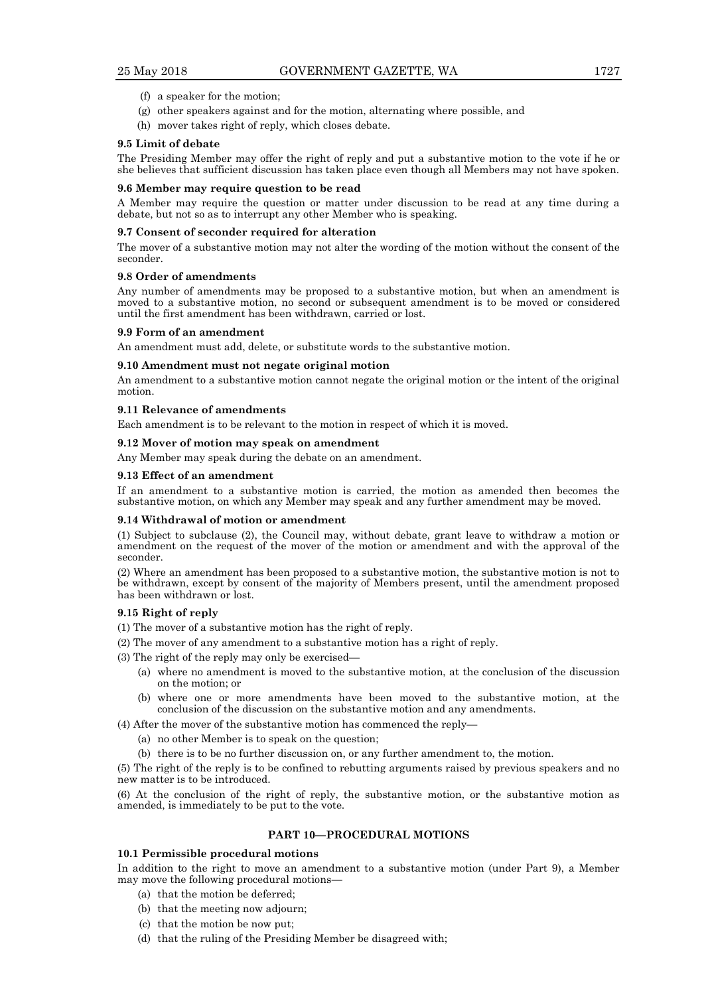- (f) a speaker for the motion;
- (g) other speakers against and for the motion, alternating where possible, and
- (h) mover takes right of reply, which closes debate.

#### **9.5 Limit of debate**

The Presiding Member may offer the right of reply and put a substantive motion to the vote if he or she believes that sufficient discussion has taken place even though all Members may not have spoken.

#### **9.6 Member may require question to be read**

A Member may require the question or matter under discussion to be read at any time during a debate, but not so as to interrupt any other Member who is speaking.

#### **9.7 Consent of seconder required for alteration**

The mover of a substantive motion may not alter the wording of the motion without the consent of the seconder.

# **9.8 Order of amendments**

Any number of amendments may be proposed to a substantive motion, but when an amendment is moved to a substantive motion, no second or subsequent amendment is to be moved or considered until the first amendment has been withdrawn, carried or lost.

#### **9.9 Form of an amendment**

An amendment must add, delete, or substitute words to the substantive motion.

#### **9.10 Amendment must not negate original motion**

An amendment to a substantive motion cannot negate the original motion or the intent of the original motion.

### **9.11 Relevance of amendments**

Each amendment is to be relevant to the motion in respect of which it is moved.

#### **9.12 Mover of motion may speak on amendment**

Any Member may speak during the debate on an amendment.

#### **9.13 Effect of an amendment**

If an amendment to a substantive motion is carried, the motion as amended then becomes the substantive motion, on which any Member may speak and any further amendment may be moved.

#### **9.14 Withdrawal of motion or amendment**

(1) Subject to subclause (2), the Council may, without debate, grant leave to withdraw a motion or amendment on the request of the mover of the motion or amendment and with the approval of the seconder.

(2) Where an amendment has been proposed to a substantive motion, the substantive motion is not to be withdrawn, except by consent of the majority of Members present, until the amendment proposed has been withdrawn or lost.

# **9.15 Right of reply**

- (1) The mover of a substantive motion has the right of reply.
- (2) The mover of any amendment to a substantive motion has a right of reply.
- (3) The right of the reply may only be exercised—
	- (a) where no amendment is moved to the substantive motion, at the conclusion of the discussion on the motion; or
	- (b) where one or more amendments have been moved to the substantive motion, at the conclusion of the discussion on the substantive motion and any amendments.
- (4) After the mover of the substantive motion has commenced the reply—
	- (a) no other Member is to speak on the question;
	- (b) there is to be no further discussion on, or any further amendment to, the motion.

(5) The right of the reply is to be confined to rebutting arguments raised by previous speakers and no new matter is to be introduced.

(6) At the conclusion of the right of reply, the substantive motion, or the substantive motion as amended, is immediately to be put to the vote.

#### **PART 10—PROCEDURAL MOTIONS**

#### **10.1 Permissible procedural motions**

In addition to the right to move an amendment to a substantive motion (under Part 9), a Member may move the following procedural motions—

- (a) that the motion be deferred;
- (b) that the meeting now adjourn;
- (c) that the motion be now put;
- (d) that the ruling of the Presiding Member be disagreed with;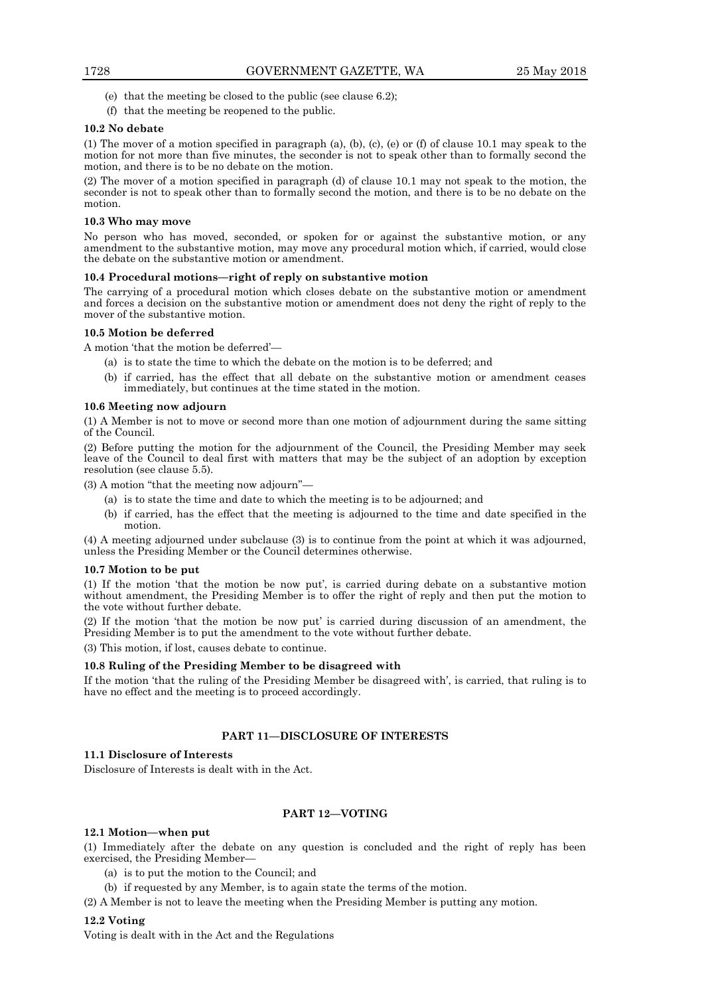- (e) that the meeting be closed to the public (see clause 6.2);
- (f) that the meeting be reopened to the public.

#### **10.2 No debate**

(1) The mover of a motion specified in paragraph (a), (b), (c), (e) or (f) of clause 10.1 may speak to the motion for not more than five minutes, the seconder is not to speak other than to formally second the motion, and there is to be no debate on the motion.

(2) The mover of a motion specified in paragraph (d) of clause 10.1 may not speak to the motion, the seconder is not to speak other than to formally second the motion, and there is to be no debate on the motion.

#### **10.3 Who may move**

No person who has moved, seconded, or spoken for or against the substantive motion, or any amendment to the substantive motion, may move any procedural motion which, if carried, would close the debate on the substantive motion or amendment.

#### **10.4 Procedural motions—right of reply on substantive motion**

The carrying of a procedural motion which closes debate on the substantive motion or amendment and forces a decision on the substantive motion or amendment does not deny the right of reply to the mover of the substantive motion.

#### **10.5 Motion be deferred**

A motion 'that the motion be deferred'—

- (a) is to state the time to which the debate on the motion is to be deferred; and
- (b) if carried, has the effect that all debate on the substantive motion or amendment ceases immediately, but continues at the time stated in the motion.

#### **10.6 Meeting now adjourn**

(1) A Member is not to move or second more than one motion of adjournment during the same sitting of the Council.

(2) Before putting the motion for the adjournment of the Council, the Presiding Member may seek leave of the Council to deal first with matters that may be the subject of an adoption by exception resolution (see clause 5.5).

(3) A motion "that the meeting now adjourn"—

- (a) is to state the time and date to which the meeting is to be adjourned; and
- (b) if carried, has the effect that the meeting is adjourned to the time and date specified in the motion.

(4) A meeting adjourned under subclause (3) is to continue from the point at which it was adjourned, unless the Presiding Member or the Council determines otherwise.

#### **10.7 Motion to be put**

(1) If the motion 'that the motion be now put', is carried during debate on a substantive motion without amendment, the Presiding Member is to offer the right of reply and then put the motion to the vote without further debate.

(2) If the motion 'that the motion be now put' is carried during discussion of an amendment, the Presiding Member is to put the amendment to the vote without further debate.

(3) This motion, if lost, causes debate to continue.

#### **10.8 Ruling of the Presiding Member to be disagreed with**

If the motion 'that the ruling of the Presiding Member be disagreed with', is carried, that ruling is to have no effect and the meeting is to proceed accordingly.

# **PART 11—DISCLOSURE OF INTERESTS**

#### **11.1 Disclosure of Interests**

Disclosure of Interests is dealt with in the Act.

# **PART 12—VOTING**

#### **12.1 Motion—when put**

(1) Immediately after the debate on any question is concluded and the right of reply has been exercised, the Presiding Member—

- (a) is to put the motion to the Council; and
- (b) if requested by any Member, is to again state the terms of the motion.
- (2) A Member is not to leave the meeting when the Presiding Member is putting any motion.

# **12.2 Voting**

Voting is dealt with in the Act and the Regulations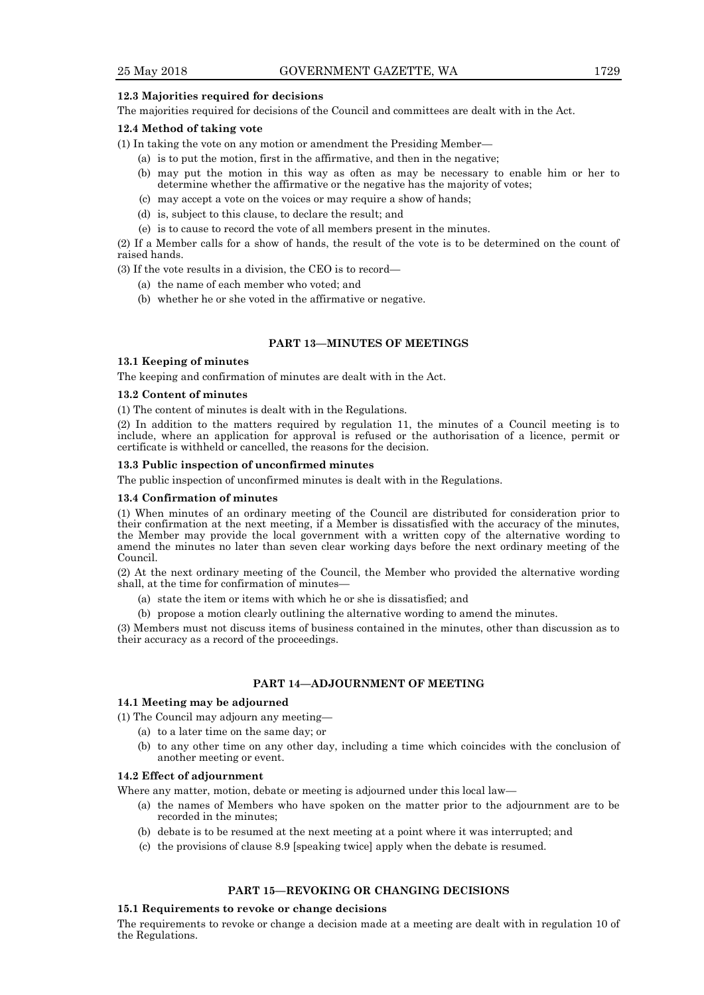#### **12.3 Majorities required for decisions**

The majorities required for decisions of the Council and committees are dealt with in the Act.

#### **12.4 Method of taking vote**

(1) In taking the vote on any motion or amendment the Presiding Member—

- (a) is to put the motion, first in the affirmative, and then in the negative;
- (b) may put the motion in this way as often as may be necessary to enable him or her to determine whether the affirmative or the negative has the majority of votes;
- (c) may accept a vote on the voices or may require a show of hands;
- (d) is, subject to this clause, to declare the result; and
- (e) is to cause to record the vote of all members present in the minutes.

(2) If a Member calls for a show of hands, the result of the vote is to be determined on the count of raised hands.

(3) If the vote results in a division, the CEO is to record—

- (a) the name of each member who voted; and
- (b) whether he or she voted in the affirmative or negative.

# **PART 13—MINUTES OF MEETINGS**

#### **13.1 Keeping of minutes**

The keeping and confirmation of minutes are dealt with in the Act.

# **13.2 Content of minutes**

(1) The content of minutes is dealt with in the Regulations.

(2) In addition to the matters required by regulation 11, the minutes of a Council meeting is to include, where an application for approval is refused or the authorisation of a licence, permit or certificate is withheld or cancelled, the reasons for the decision.

#### **13.3 Public inspection of unconfirmed minutes**

The public inspection of unconfirmed minutes is dealt with in the Regulations.

#### **13.4 Confirmation of minutes**

(1) When minutes of an ordinary meeting of the Council are distributed for consideration prior to their confirmation at the next meeting, if a Member is dissatisfied with the accuracy of the minutes, the Member may provide the local government with a written copy of the alternative wording to amend the minutes no later than seven clear working days before the next ordinary meeting of the Council.

(2) At the next ordinary meeting of the Council, the Member who provided the alternative wording shall, at the time for confirmation of minutes—

- (a) state the item or items with which he or she is dissatisfied; and
- (b) propose a motion clearly outlining the alternative wording to amend the minutes.

(3) Members must not discuss items of business contained in the minutes, other than discussion as to their accuracy as a record of the proceedings.

# **PART 14—ADJOURNMENT OF MEETING**

# **14.1 Meeting may be adjourned**

- (1) The Council may adjourn any meeting—
	- (a) to a later time on the same day; or
	- (b) to any other time on any other day, including a time which coincides with the conclusion of another meeting or event.

#### **14.2 Effect of adjournment**

Where any matter, motion, debate or meeting is adjourned under this local law—

- (a) the names of Members who have spoken on the matter prior to the adjournment are to be recorded in the minutes;
- (b) debate is to be resumed at the next meeting at a point where it was interrupted; and
- (c) the provisions of clause 8.9 [speaking twice] apply when the debate is resumed.

# **PART 15—REVOKING OR CHANGING DECISIONS**

#### **15.1 Requirements to revoke or change decisions**

The requirements to revoke or change a decision made at a meeting are dealt with in regulation 10 of the Regulations.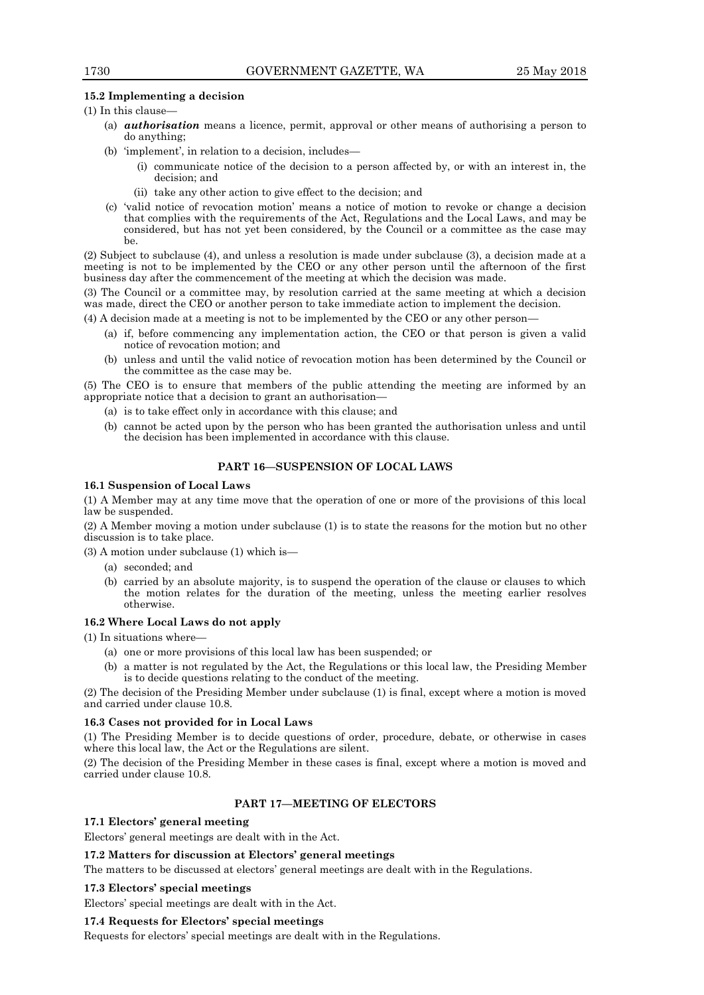#### **15.2 Implementing a decision**

#### $(1)$  In this clause-

- (a) *authorisation* means a licence, permit, approval or other means of authorising a person to do anything;
- (b) 'implement', in relation to a decision, includes—
	- (i) communicate notice of the decision to a person affected by, or with an interest in, the decision; and
	- (ii) take any other action to give effect to the decision; and
- (c) 'valid notice of revocation motion' means a notice of motion to revoke or change a decision that complies with the requirements of the Act, Regulations and the Local Laws, and may be considered, but has not yet been considered, by the Council or a committee as the case may be.

(2) Subject to subclause (4), and unless a resolution is made under subclause (3), a decision made at a meeting is not to be implemented by the CEO or any other person until the afternoon of the first business day after the commencement of the meeting at which the decision was made.

(3) The Council or a committee may, by resolution carried at the same meeting at which a decision was made, direct the CEO or another person to take immediate action to implement the decision.

(4) A decision made at a meeting is not to be implemented by the CEO or any other person—

- (a) if, before commencing any implementation action, the CEO or that person is given a valid notice of revocation motion; and
- (b) unless and until the valid notice of revocation motion has been determined by the Council or the committee as the case may be.

(5) The CEO is to ensure that members of the public attending the meeting are informed by an appropriate notice that a decision to grant an authorisation—

- (a) is to take effect only in accordance with this clause; and
- (b) cannot be acted upon by the person who has been granted the authorisation unless and until the decision has been implemented in accordance with this clause.

#### **PART 16—SUSPENSION OF LOCAL LAWS**

#### **16.1 Suspension of Local Laws**

(1) A Member may at any time move that the operation of one or more of the provisions of this local law be suspended.

(2) A Member moving a motion under subclause (1) is to state the reasons for the motion but no other discussion is to take place.

(3) A motion under subclause (1) which is—

- (a) seconded; and
- (b) carried by an absolute majority, is to suspend the operation of the clause or clauses to which the motion relates for the duration of the meeting, unless the meeting earlier resolves otherwise.

#### **16.2 Where Local Laws do not apply**

(1) In situations where—

- (a) one or more provisions of this local law has been suspended; or
- (b) a matter is not regulated by the Act, the Regulations or this local law, the Presiding Member is to decide questions relating to the conduct of the meeting.

(2) The decision of the Presiding Member under subclause (1) is final, except where a motion is moved and carried under clause 10.8.

#### **16.3 Cases not provided for in Local Laws**

(1) The Presiding Member is to decide questions of order, procedure, debate, or otherwise in cases where this local law, the Act or the Regulations are silent.

(2) The decision of the Presiding Member in these cases is final, except where a motion is moved and carried under clause 10.8.

#### **PART 17—MEETING OF ELECTORS**

#### **17.1 Electors' general meeting**

Electors' general meetings are dealt with in the Act.

# **17.2 Matters for discussion at Electors' general meetings**

The matters to be discussed at electors' general meetings are dealt with in the Regulations.

# **17.3 Electors' special meetings**

Electors' special meetings are dealt with in the Act.

# **17.4 Requests for Electors' special meetings**

Requests for electors' special meetings are dealt with in the Regulations.